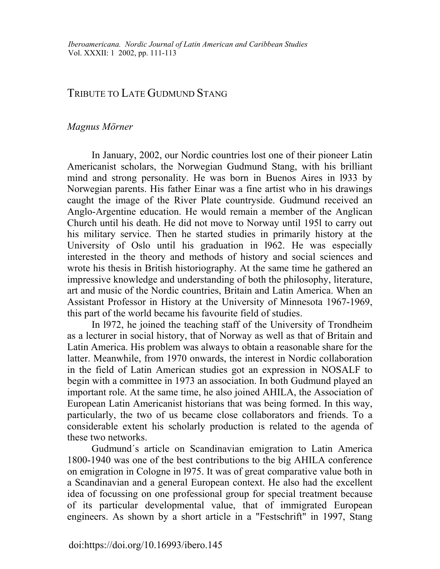## TRIBUTE TO LATE GUDMUND STANG

## *Magnus Mörner*

In January, 2002, our Nordic countries lost one of their pioneer Latin Americanist scholars, the Norwegian Gudmund Stang, with his brilliant mind and strong personality. He was born in Buenos Aires in l933 by Norwegian parents. His father Einar was a fine artist who in his drawings caught the image of the River Plate countryside. Gudmund received an Anglo-Argentine education. He would remain a member of the Anglican Church until his death. He did not move to Norway until 195l to carry out his military service. Then he started studies in primarily history at the University of Oslo until his graduation in l962. He was especially interested in the theory and methods of history and social sciences and wrote his thesis in British historiography. At the same time he gathered an impressive knowledge and understanding of both the philosophy, literature, art and music of the Nordic countries, Britain and Latin America. When an Assistant Professor in History at the University of Minnesota 1967-1969, this part of the world became his favourite field of studies.

In l972, he joined the teaching staff of the University of Trondheim as a lecturer in social history, that of Norway as well as that of Britain and Latin America. His problem was always to obtain a reasonable share for the latter. Meanwhile, from 1970 onwards, the interest in Nordic collaboration in the field of Latin American studies got an expression in NOSALF to begin with a committee in 1973 an association. In both Gudmund played an important role. At the same time, he also joined AHILA, the Association of European Latin Americanist historians that was being formed. In this way, particularly, the two of us became close collaborators and friends. To a considerable extent his scholarly production is related to the agenda of these two networks.

Gudmund´s article on Scandinavian emigration to Latin America 1800-1940 was one of the best contributions to the big AHILA conference on emigration in Cologne in l975. It was of great comparative value both in a Scandinavian and a general European context. He also had the excellent idea of focussing on one professional group for special treatment because of its particular developmental value, that of immigrated European engineers. As shown by a short article in a "Festschrift" in 1997, Stang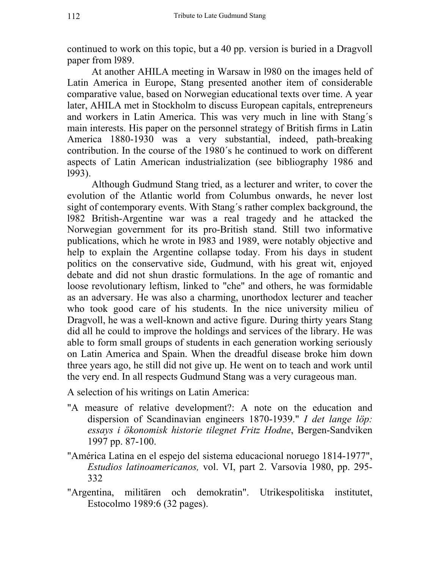continued to work on this topic, but a 40 pp. version is buried in a Dragvoll paper from l989.

At another AHILA meeting in Warsaw in l980 on the images held of Latin America in Europe, Stang presented another item of considerable comparative value, based on Norwegian educational texts over time. A year later, AHILA met in Stockholm to discuss European capitals, entrepreneurs and workers in Latin America. This was very much in line with Stang´s main interests. His paper on the personnel strategy of British firms in Latin America 1880-1930 was a very substantial, indeed, path-breaking contribution. In the course of the 1980´s he continued to work on different aspects of Latin American industrialization (see bibliography 1986 and l993).

Although Gudmund Stang tried, as a lecturer and writer, to cover the evolution of the Atlantic world from Columbus onwards, he never lost sight of contemporary events. With Stang´s rather complex background, the l982 British-Argentine war was a real tragedy and he attacked the Norwegian government for its pro-British stand. Still two informative publications, which he wrote in l983 and 1989, were notably objective and help to explain the Argentine collapse today. From his days in student politics on the conservative side, Gudmund, with his great wit, enjoyed debate and did not shun drastic formulations. In the age of romantic and loose revolutionary leftism, linked to "che" and others, he was formidable as an adversary. He was also a charming, unorthodox lecturer and teacher who took good care of his students. In the nice university milieu of Dragvoll, he was a well-known and active figure. During thirty years Stang did all he could to improve the holdings and services of the library. He was able to form small groups of students in each generation working seriously on Latin America and Spain. When the dreadful disease broke him down three years ago, he still did not give up. He went on to teach and work until the very end. In all respects Gudmund Stang was a very curageous man.

A selection of his writings on Latin America:

- "A measure of relative development?: A note on the education and dispersion of Scandinavian engineers 1870-1939." *I det lange löp: essays i ökonomisk historie tilegnet Fritz Hodne*, Bergen-Sandviken 1997 pp. 87-100.
- "América Latina en el espejo del sistema educacional noruego 1814-1977", *Estudios latinoamericanos,* vol. VI, part 2. Varsovia 1980, pp. 295- 332
- "Argentina, militären och demokratin". Utrikespolitiska institutet, Estocolmo 1989:6 (32 pages).